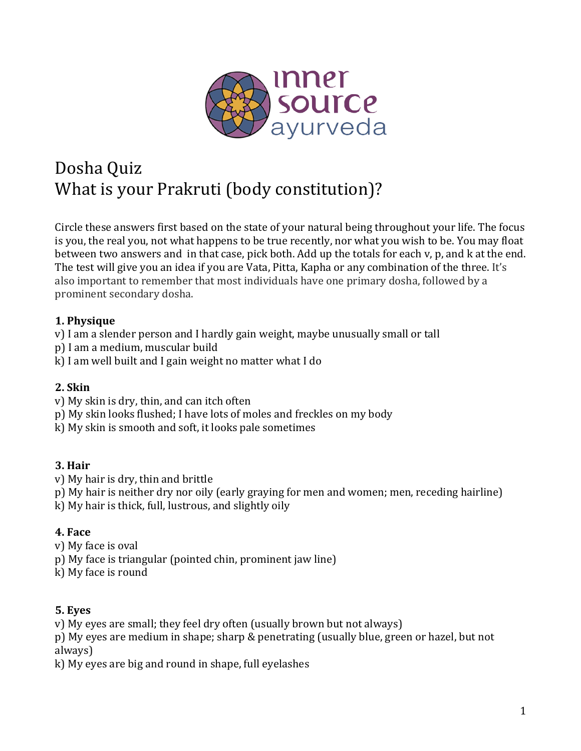

# Dosha Quiz What is your Prakruti (body constitution)?

Circle these answers first based on the state of your natural being throughout your life. The focus is you, the real you, not what happens to be true recently, nor what you wish to be. You may float between two answers and in that case, pick both. Add up the totals for each v, p, and k at the end. The test will give you an idea if you are Vata, Pitta, Kapha or any combination of the three. It's also important to remember that most individuals have one primary dosha, followed by a prominent secondary dosha.

#### **1. Physique**

- v) I am a slender person and I hardly gain weight, maybe unusually small or tall
- p) I am a medium, muscular build
- $k$ ) I am well built and I gain weight no matter what I do

#### **2. Skin**

- v) My skin is dry, thin, and can itch often
- p) My skin looks flushed; I have lots of moles and freckles on my body
- k) My skin is smooth and soft, it looks pale sometimes

## **3. Hair**

- v) My hair is dry, thin and brittle
- p) My hair is neither dry nor oily (early graying for men and women; men, receding hairline)
- $k$ ) My hair is thick, full, lustrous, and slightly oily

#### **4. Face**

- v) My face is oval
- p) My face is triangular (pointed chin, prominent jaw line)
- k) My face is round

#### **5. Eyes**

 $\bf{v}$ ) My eyes are small; they feel dry often (usually brown but not always)

p) My eyes are medium in shape; sharp & penetrating (usually blue, green or hazel, but not always)

k) My eyes are big and round in shape, full eyelashes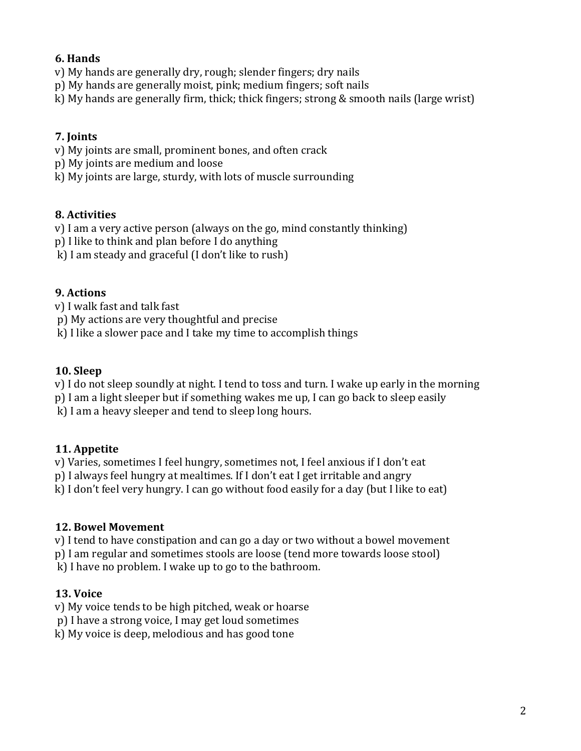## **6. Hands**

v) My hands are generally dry, rough; slender fingers; dry nails

p) My hands are generally moist, pink; medium fingers; soft nails

k) My hands are generally firm, thick; thick fingers; strong  $&$  smooth nails (large wrist)

# **7. Joints**

v) My joints are small, prominent bones, and often crack

p) My joints are medium and loose

k) My joints are large, sturdy, with lots of muscle surrounding

# **8. Activities**

 $\mathbf v$ ) I am a very active person (always on the go, mind constantly thinking)

p) I like to think and plan before I do anything

 $k$ ) I am steady and graceful (I don't like to rush)

## **9.** Actions

v) I walk fast and talk fast

p) My actions are very thoughtful and precise

 $k$ ) I like a slower pace and I take my time to accomplish things

# **10. Sleep**

v) I do not sleep soundly at night. I tend to toss and turn. I wake up early in the morning

p) I am a light sleeper but if something wakes me up, I can go back to sleep easily

k) I am a heavy sleeper and tend to sleep long hours.

## **11. Appetite**

v) Varies, sometimes I feel hungry, sometimes not, I feel anxious if I don't eat

p) I always feel hungry at mealtimes. If I don't eat I get irritable and angry

 $k$ ) I don't feel very hungry. I can go without food easily for a day (but I like to eat)

## **12. Bowel Movement**

v) I tend to have constipation and can go a day or two without a bowel movement

p) I am regular and sometimes stools are loose (tend more towards loose stool)

 $k$ ) I have no problem. I wake up to go to the bathroom.

## **13. Voice**

v) My voice tends to be high pitched, weak or hoarse

p) I have a strong voice, I may get loud sometimes

 $k$ ) My voice is deep, melodious and has good tone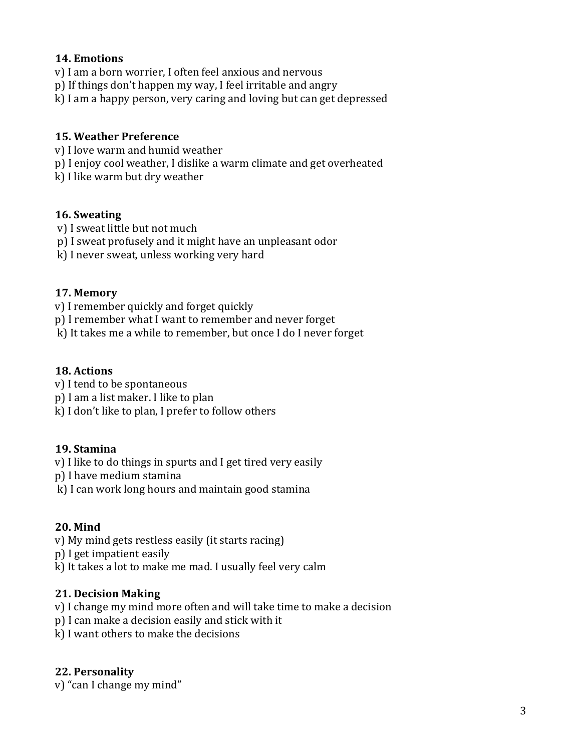#### **14. Emotions**

- v) I am a born worrier, I often feel anxious and nervous
- p) If things don't happen my way, I feel irritable and angry
- k) I am a happy person, very caring and loving but can get depressed

#### **15. Weather Preference**

- v) I love warm and humid weather
- p) I enjoy cool weather, I dislike a warm climate and get overheated
- k) I like warm but dry weather

#### 16. Sweating

- v) I sweat little but not much
- p) I sweat profusely and it might have an unpleasant odor
- k) I never sweat, unless working very hard

#### **17. Memory**

- v) I remember quickly and forget quickly
- p) I remember what I want to remember and never forget
- k) It takes me a while to remember, but once I do I never forget

## 18. Actions

- v) I tend to be spontaneous
- p) I am a list maker. I like to plan
- $k$ ) I don't like to plan, I prefer to follow others

#### **19. Stamina**

v) I like to do things in spurts and I get tired very easily

p) I have medium stamina

k) I can work long hours and maintain good stamina

#### **20. Mind**

- v) My mind gets restless easily (it starts racing)
- p) I get impatient easily
- k) It takes a lot to make me mad. I usually feel very calm

#### **21. Decision Making**

- v) I change my mind more often and will take time to make a decision
- p) I can make a decision easily and stick with it
- k) I want others to make the decisions

#### **22. Personality**

v) "can I change my mind"